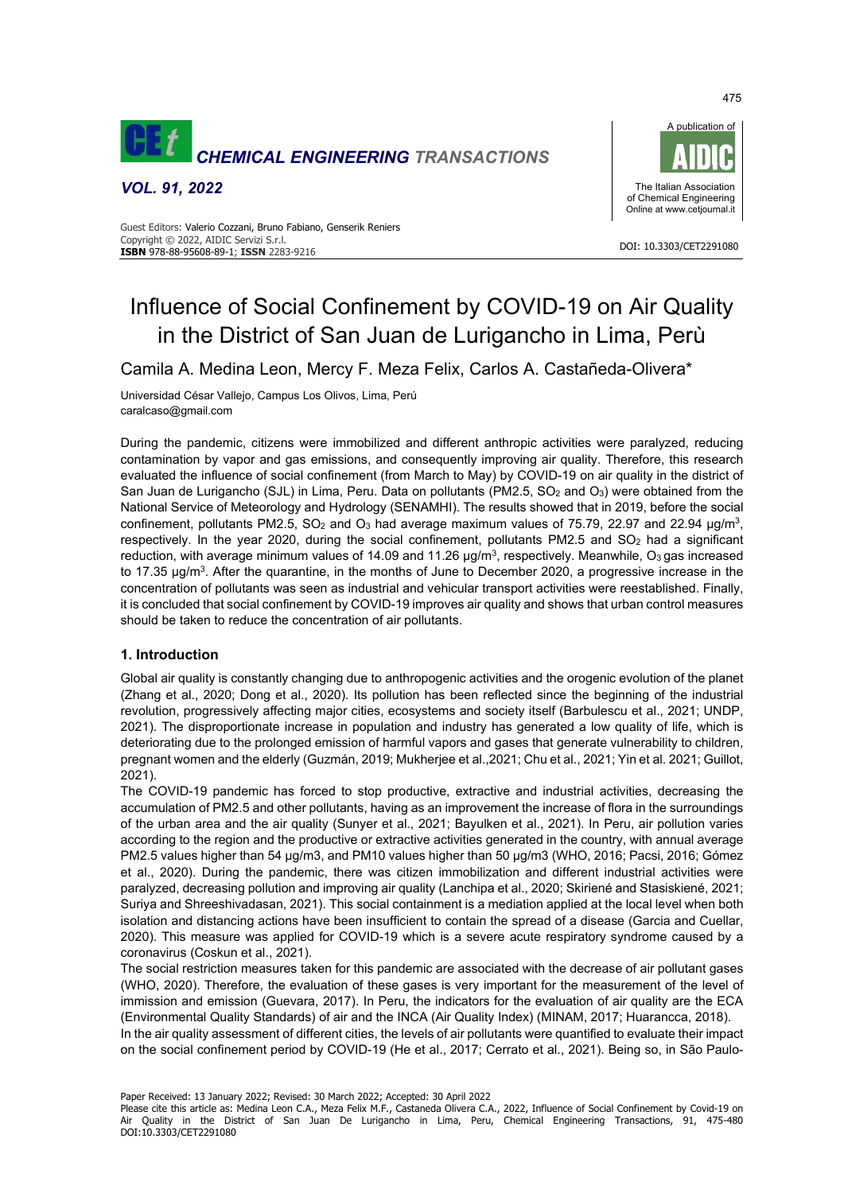

*VOL. 91, 2022*



#### DOI: 10.3303/CET2291080 **ISBN** 978-88-95608-89-1; **ISSN** 2283-9216 Guest Editors: Valerio Cozzani, Bruno Fabiano, Genserik Reniers Copyright © 2022, AIDIC Servizi S.r.l.

# Influence of Social Confinement by COVID-19 on Air Quality in the District of San Juan de Lurigancho in Lima, Perù

Camila A. Medina Leon, Mercy F. Meza Felix, Carlos A. Castañeda-Olivera\*

Universidad César Vallejo, Campus Los Olivos, Lima, Perú caralcaso@gmail.com

During the pandemic, citizens were immobilized and different anthropic activities were paralyzed, reducing contamination by vapor and gas emissions, and consequently improving air quality. Therefore, this research evaluated the influence of social confinement (from March to May) by COVID-19 on air quality in the district of San Juan de Lurigancho (SJL) in Lima, Peru. Data on pollutants (PM2.5, SO<sub>2</sub> and O<sub>3</sub>) were obtained from the National Service of Meteorology and Hydrology (SENAMHI). The results showed that in 2019, before the social confinement, pollutants PM2.5, SO<sub>2</sub> and O<sub>3</sub> had average maximum values of 75.79, 22.97 and 22.94  $\mu$ g/m<sup>3</sup>, respectively. In the year 2020, during the social confinement, pollutants PM2.5 and SO<sub>2</sub> had a significant reduction, with average minimum values of 14.09 and 11.26  $\mu$ g/m<sup>3</sup>, respectively. Meanwhile, O<sub>3</sub> gas increased to 17.35  $\mu q/m^3$ . After the quarantine, in the months of June to December 2020, a progressive increase in the concentration of pollutants was seen as industrial and vehicular transport activities were reestablished. Finally, it is concluded that social confinement by COVID-19 improves air quality and shows that urban control measures should be taken to reduce the concentration of air pollutants.

# **1. Introduction**

Global air quality is constantly changing due to anthropogenic activities and the orogenic evolution of the planet (Zhang et al., 2020; Dong et al., 2020). Its pollution has been reflected since the beginning of the industrial revolution, progressively affecting major cities, ecosystems and society itself (Barbulescu et al., 2021; UNDP, 2021). The disproportionate increase in population and industry has generated a low quality of life, which is deteriorating due to the prolonged emission of harmful vapors and gases that generate vulnerability to children, pregnant women and the elderly (Guzmán, 2019; Mukherjee et al.,2021; Chu et al., 2021; Yin et al. 2021; Guillot, 2021).

The COVID-19 pandemic has forced to stop productive, extractive and industrial activities, decreasing the accumulation of PM2.5 and other pollutants, having as an improvement the increase of flora in the surroundings of the urban area and the air quality (Sunyer et al., 2021; Bayulken et al., 2021). In Peru, air pollution varies according to the region and the productive or extractive activities generated in the country, with annual average PM2.5 values higher than 54 µg/m3, and PM10 values higher than 50 µg/m3 (WHO, 2016; Pacsi, 2016; Gómez et al., 2020). During the pandemic, there was citizen immobilization and different industrial activities were paralyzed, decreasing pollution and improving air quality (Lanchipa et al., 2020; Skiriené and Stasiskiené, 2021; Suriya and Shreeshivadasan, 2021). This social containment is a mediation applied at the local level when both isolation and distancing actions have been insufficient to contain the spread of a disease (Garcia and Cuellar, 2020). This measure was applied for COVID-19 which is a severe acute respiratory syndrome caused by a coronavirus (Coskun et al., 2021).

The social restriction measures taken for this pandemic are associated with the decrease of air pollutant gases (WHO, 2020). Therefore, the evaluation of these gases is very important for the measurement of the level of immission and emission (Guevara, 2017). In Peru, the indicators for the evaluation of air quality are the ECA (Environmental Quality Standards) of air and the INCA (Air Quality Index) (MINAM, 2017; Huarancca, 2018). In the air quality assessment of different cities, the levels of air pollutants were quantified to evaluate their impact on the social confinement period by COVID-19 (He et al., 2017; Cerrato et al., 2021). Being so, in São Paulo-

Paper Received: 13 January 2022; Revised: 30 March 2022; Accepted: 30 April 2022

Please cite this article as: Medina Leon C.A., Meza Felix M.F., Castaneda Olivera C.A., 2022, Influence of Social Confinement by Covid-19 on Air Quality in the District of San Juan De Lurigancho in Lima, Peru, Chemical Engineering Transactions, 91, 475-480 DOI:10.3303/CET2291080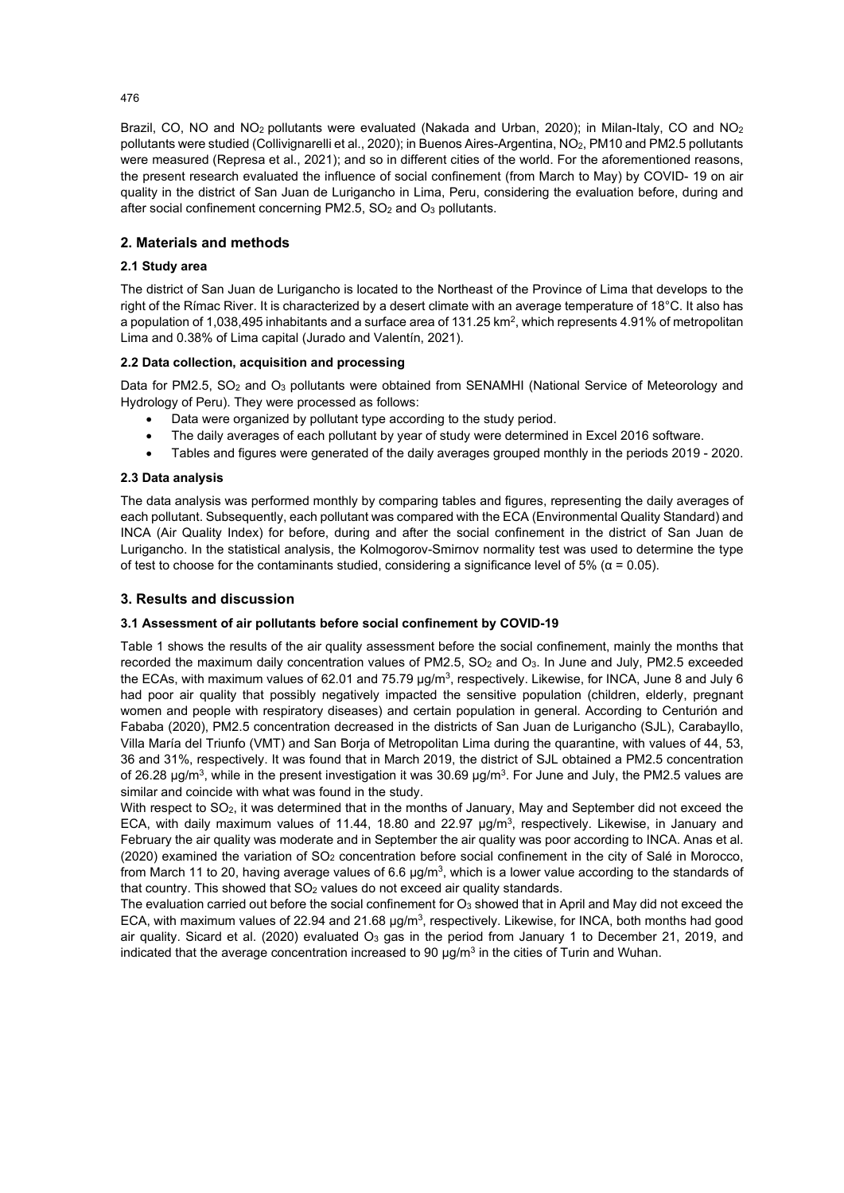Brazil, CO, NO and  $NO<sub>2</sub>$  pollutants were evaluated (Nakada and Urban, 2020); in Milan-Italy, CO and  $NO<sub>2</sub>$ pollutants were studied (Collivignarelli et al., 2020); in Buenos Aires-Argentina, NO2, PM10 and PM2.5 pollutants were measured (Represa et al., 2021); and so in different cities of the world. For the aforementioned reasons, the present research evaluated the influence of social confinement (from March to May) by COVID- 19 on air quality in the district of San Juan de Lurigancho in Lima, Peru, considering the evaluation before, during and after social confinement concerning PM2.5, SO<sub>2</sub> and O<sub>3</sub> pollutants.

# **2. Materials and methods**

# **2.1 Study area**

The district of San Juan de Lurigancho is located to the Northeast of the Province of Lima that develops to the right of the Rímac River. It is characterized by a desert climate with an average temperature of 18°C. It also has a population of 1,038,495 inhabitants and a surface area of 131.25 km2, which represents 4.91% of metropolitan Lima and 0.38% of Lima capital (Jurado and Valentín, 2021).

# **2.2 Data collection, acquisition and processing**

Data for PM2.5, SO<sub>2</sub> and O<sub>3</sub> pollutants were obtained from SENAMHI (National Service of Meteorology and Hydrology of Peru). They were processed as follows:

- Data were organized by pollutant type according to the study period.
- The daily averages of each pollutant by year of study were determined in Excel 2016 software.
- Tables and figures were generated of the daily averages grouped monthly in the periods 2019 2020.

## **2.3 Data analysis**

The data analysis was performed monthly by comparing tables and figures, representing the daily averages of each pollutant. Subsequently, each pollutant was compared with the ECA (Environmental Quality Standard) and INCA (Air Quality Index) for before, during and after the social confinement in the district of San Juan de Lurigancho. In the statistical analysis, the Kolmogorov-Smirnov normality test was used to determine the type of test to choose for the contaminants studied, considering a significance level of 5% ( $\alpha$  = 0.05).

# **3. Results and discussion**

#### **3.1 Assessment of air pollutants before social confinement by COVID-19**

Table 1 shows the results of the air quality assessment before the social confinement, mainly the months that recorded the maximum daily concentration values of PM2.5,  $SO<sub>2</sub>$  and  $O<sub>3</sub>$ . In June and July, PM2.5 exceeded the ECAs, with maximum values of 62.01 and 75.79 µg/m<sup>3</sup>, respectively. Likewise, for INCA, June 8 and July 6 had poor air quality that possibly negatively impacted the sensitive population (children, elderly, pregnant women and people with respiratory diseases) and certain population in general. According to Centurión and Fababa (2020), PM2.5 concentration decreased in the districts of San Juan de Lurigancho (SJL), Carabayllo, Villa María del Triunfo (VMT) and San Borja of Metropolitan Lima during the quarantine, with values of 44, 53, 36 and 31%, respectively. It was found that in March 2019, the district of SJL obtained a PM2.5 concentration of 26.28 µg/m<sup>3</sup>, while in the present investigation it was  $30.69 \mu q/m^3$ . For June and July, the PM2.5 values are similar and coincide with what was found in the study.

With respect to SO<sub>2</sub>, it was determined that in the months of January, May and September did not exceed the ECA, with daily maximum values of 11.44, 18.80 and 22.97  $\mu g/m^3$ , respectively. Likewise, in January and February the air quality was moderate and in September the air quality was poor according to INCA. Anas et al. (2020) examined the variation of SO2 concentration before social confinement in the city of Salé in Morocco, from March 11 to 20, having average values of 6.6  $\mu g/m^3$ , which is a lower value according to the standards of that country. This showed that  $SO<sub>2</sub>$  values do not exceed air quality standards.

The evaluation carried out before the social confinement for  $O_3$  showed that in April and May did not exceed the ECA, with maximum values of 22.94 and 21.68 μg/m3, respectively. Likewise, for INCA, both months had good air quality. Sicard et al. (2020) evaluated  $O_3$  gas in the period from January 1 to December 21, 2019, and indicated that the average concentration increased to 90  $\mu g/m<sup>3</sup>$  in the cities of Turin and Wuhan.

476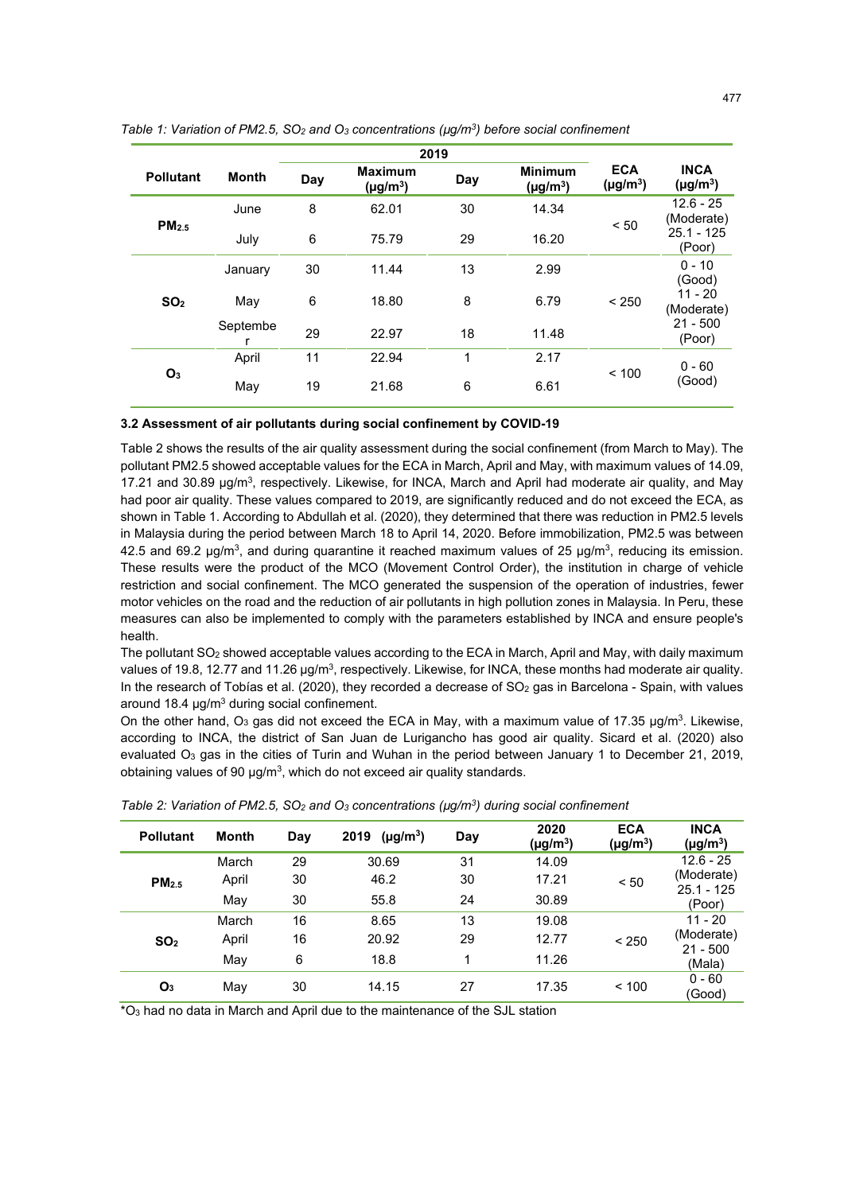|                   |               |     |                                 | 2019         |                                 |                             |                                                 |
|-------------------|---------------|-----|---------------------------------|--------------|---------------------------------|-----------------------------|-------------------------------------------------|
| <b>Pollutant</b>  | <b>Month</b>  | Day | <b>Maximum</b><br>$(\mu g/m^3)$ | Day          | <b>Minimum</b><br>$(\mu g/m^3)$ | <b>ECA</b><br>$(\mu g/m^3)$ | <b>INCA</b><br>$(\mu g/m^3)$                    |
| PM <sub>2.5</sub> | June          | 8   | 62.01                           | 30           | 14.34                           | < 50                        | $12.6 - 25$<br>(Moderate)                       |
|                   | July          | 6   | 75.79                           | 29           | 16.20                           |                             | $25.1 - 125$<br>(Poor)                          |
| SO <sub>2</sub>   | January       | 30  | 11.44                           | 13           | 2.99                            |                             | $0 - 10$<br>(Good)                              |
|                   | May           | 6   | 18.80                           | 8            | 6.79                            | < 250                       | $11 - 20$<br>(Moderate)<br>$21 - 500$<br>(Poor) |
|                   | Septembe<br>r | 29  | 22.97                           | 18           | 11.48                           |                             |                                                 |
| O <sub>3</sub>    | April         | 11  | 22.94                           | $\mathbf{1}$ | 2.17                            | < 100                       | $0 - 60$<br>(Good)                              |
|                   | May           | 19  | 21.68                           | 6            | 6.61                            |                             |                                                 |

*Table 1: Variation of PM2.5, SO2 and O3 concentrations (µg/m3) before social confinement*

#### **3.2 Assessment of air pollutants during social confinement by COVID-19**

Table 2 shows the results of the air quality assessment during the social confinement (from March to May). The pollutant PM2.5 showed acceptable values for the ECA in March, April and May, with maximum values of 14.09, 17.21 and 30.89 µg/m<sup>3</sup>, respectively. Likewise, for INCA, March and April had moderate air quality, and May had poor air quality. These values compared to 2019, are significantly reduced and do not exceed the ECA, as shown in Table 1. According to Abdullah et al. (2020), they determined that there was reduction in PM2.5 levels in Malaysia during the period between March 18 to April 14, 2020. Before immobilization, PM2.5 was between 42.5 and 69.2  $\mu$ g/m<sup>3</sup>, and during quarantine it reached maximum values of 25  $\mu$ g/m<sup>3</sup>, reducing its emission. These results were the product of the MCO (Movement Control Order), the institution in charge of vehicle restriction and social confinement. The MCO generated the suspension of the operation of industries, fewer motor vehicles on the road and the reduction of air pollutants in high pollution zones in Malaysia. In Peru, these measures can also be implemented to comply with the parameters established by INCA and ensure people's health.

The pollutant SO<sub>2</sub> showed acceptable values according to the ECA in March, April and May, with daily maximum values of 19.8, 12.77 and 11.26 μg/m3, respectively. Likewise, for INCA, these months had moderate air quality. In the research of Tobías et al. (2020), they recorded a decrease of SO<sub>2</sub> gas in Barcelona - Spain, with values around 18.4 μg/m<sup>3</sup> during social confinement.

On the other hand, O<sub>3</sub> gas did not exceed the ECA in May, with a maximum value of 17.35  $\mu$ g/m<sup>3</sup>. Likewise, according to INCA, the district of San Juan de Lurigancho has good air quality. Sicard et al. (2020) also evaluated  $O<sub>3</sub>$  gas in the cities of Turin and Wuhan in the period between January 1 to December 21, 2019, obtaining values of 90  $\mu$ g/m<sup>3</sup>, which do not exceed air quality standards.

| <b>Pollutant</b>  | <b>Month</b> | Day | 2019<br>$(\mu g/m^3)$ | Day | 2020<br>$(\mu g/m^3)$ | <b>ECA</b><br>$(\mu g/m^3)$ | <b>INCA</b><br>$(\mu g/m^3)$ |
|-------------------|--------------|-----|-----------------------|-----|-----------------------|-----------------------------|------------------------------|
|                   | March        | 29  | 30.69                 | 31  | 14.09                 |                             | $12.6 - 25$                  |
| PM <sub>2.5</sub> | April        | 30  | 46.2                  | 30  | 17.21                 | < 50                        | (Moderate)                   |
|                   | May          | 30  | 55.8                  | 24  | 30.89                 |                             | $25.1 - 125$<br>(Poor)       |
|                   | March        | 16  | 8.65                  | 13  | 19.08                 |                             | $11 - 20$                    |
| SO <sub>2</sub>   | April        | 16  | 20.92                 | 29  | 12.77                 | < 250                       | (Moderate)                   |
|                   | May          | 6   | 18.8                  | 4   | 11.26                 |                             | $21 - 500$<br>(Mala)         |
| O <sub>3</sub>    | May          | 30  | 14.15                 | 27  | 17.35                 | < 100                       | $0 - 60$                     |
|                   |              |     |                       |     |                       |                             | Good)                        |

*Table 2: Variation of PM2.5, SO2 and O3 concentrations (µg/m3) during social confinement*

\*O3 had no data in March and April due to the maintenance of the SJL station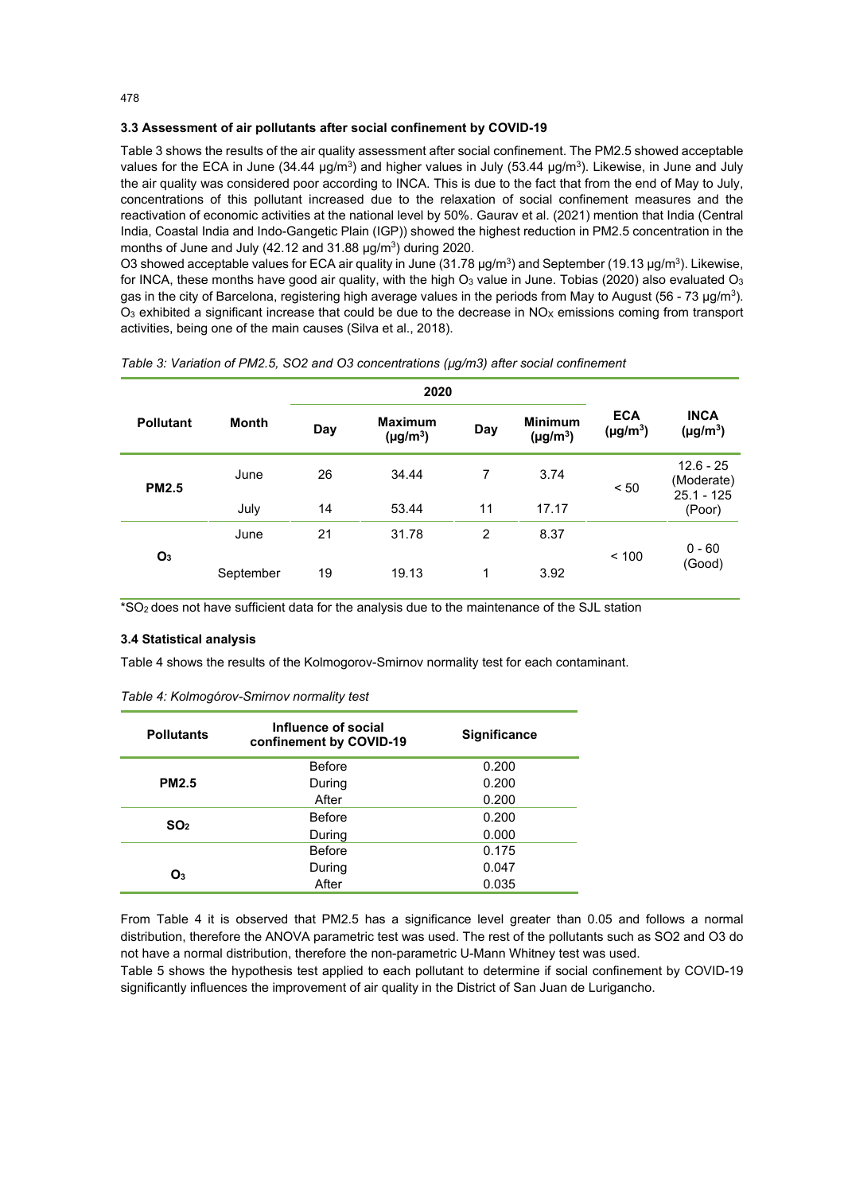# **3.3 Assessment of air pollutants after social confinement by COVID-19**

Table 3 shows the results of the air quality assessment after social confinement. The PM2.5 showed acceptable values for the ECA in June (34.44  $\mu g/m^3$ ) and higher values in July (53.44  $\mu g/m^3$ ). Likewise, in June and July the air quality was considered poor according to INCA. This is due to the fact that from the end of May to July, concentrations of this pollutant increased due to the relaxation of social confinement measures and the reactivation of economic activities at the national level by 50%. Gaurav et al. (2021) mention that India (Central India, Coastal India and Indo-Gangetic Plain (IGP)) showed the highest reduction in PM2.5 concentration in the months of June and July (42.12 and  $31.88 \mu g/m^3$ ) during 2020.

O3 showed acceptable values for ECA air quality in June (31.78  $\mu$ g/m<sup>3</sup>) and September (19.13  $\mu$ g/m<sup>3</sup>). Likewise, for INCA, these months have good air quality, with the high O<sub>3</sub> value in June. Tobias (2020) also evaluated O<sub>3</sub> gas in the city of Barcelona, registering high average values in the periods from May to August (56 - 73 µg/m<sup>3</sup>).  $O_3$  exhibited a significant increase that could be due to the decrease in NO<sub>X</sub> emissions coming from transport activities, being one of the main causes (Silva et al., 2018).

|                  |              |     | 2020                            |     |                                 |                             |                                           |
|------------------|--------------|-----|---------------------------------|-----|---------------------------------|-----------------------------|-------------------------------------------|
| <b>Pollutant</b> | <b>Month</b> | Day | <b>Maximum</b><br>$(\mu g/m^3)$ | Day | <b>Minimum</b><br>$(\mu g/m^3)$ | <b>ECA</b><br>$(\mu g/m^3)$ | <b>INCA</b><br>$(\mu g/m^3)$              |
| <b>PM2.5</b>     | June         | 26  | 34.44                           | 7   | 3.74                            | < 50                        | $12.6 - 25$<br>(Moderate)<br>$25.1 - 125$ |
|                  | July         | 14  | 53.44                           | 11  | 17.17                           |                             | (Poor)                                    |
|                  | June         | 21  | 31.78                           | 2   | 8.37                            |                             |                                           |
| O <sub>3</sub>   | September    | 19  | 19.13                           | 1   | 3.92                            | < 100                       | $0 - 60$<br>(Good)                        |

# *Table 3: Variation of PM2.5, SO2 and O3 concentrations (µg/m3) after social confinement*

\*SO2 does not have sufficient data for the analysis due to the maintenance of the SJL station

#### **3.4 Statistical analysis**

Table 4 shows the results of the Kolmogorov-Smirnov normality test for each contaminant.

|  |  | Table 4: Kolmogórov-Smirnov normality test |  |  |
|--|--|--------------------------------------------|--|--|
|--|--|--------------------------------------------|--|--|

| <b>Pollutants</b> | Influence of social<br>confinement by COVID-19 | <b>Significance</b> |
|-------------------|------------------------------------------------|---------------------|
|                   | <b>Before</b>                                  | 0.200               |
| <b>PM2.5</b>      | During                                         | 0.200               |
|                   | After                                          | 0.200               |
| SO <sub>2</sub>   | <b>Before</b>                                  | 0.200               |
|                   | During                                         | 0.000               |
|                   | <b>Before</b>                                  | 0.175               |
| O3                | During                                         | 0.047               |
|                   | After                                          | 0.035               |

From Table 4 it is observed that PM2.5 has a significance level greater than 0.05 and follows a normal distribution, therefore the ANOVA parametric test was used. The rest of the pollutants such as SO2 and O3 do not have a normal distribution, therefore the non-parametric U-Mann Whitney test was used.

Table 5 shows the hypothesis test applied to each pollutant to determine if social confinement by COVID-19 significantly influences the improvement of air quality in the District of San Juan de Lurigancho.

478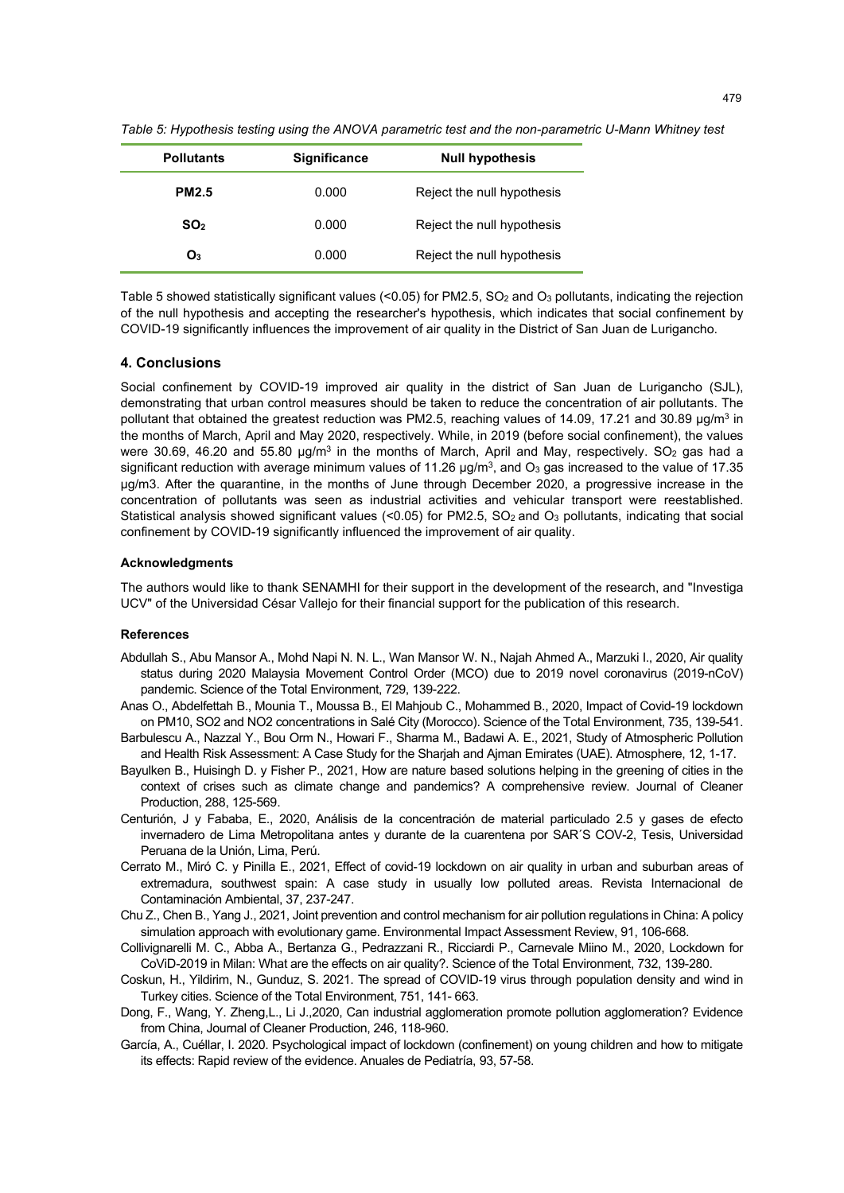| <b>PM2.5</b>    | 0.000 | Reject the null hypothesis |
|-----------------|-------|----------------------------|
| SO <sub>2</sub> | 0.000 | Reject the null hypothesis |
| O3              | 0.000 | Reject the null hypothesis |

Table 5 showed statistically significant values (<0.05) for PM2.5,  $SO_2$  and  $O_3$  pollutants, indicating the rejection of the null hypothesis and accepting the researcher's hypothesis, which indicates that social confinement by COVID-19 significantly influences the improvement of air quality in the District of San Juan de Lurigancho.

# **4. Conclusions**

Social confinement by COVID-19 improved air quality in the district of San Juan de Lurigancho (SJL), demonstrating that urban control measures should be taken to reduce the concentration of air pollutants. The pollutant that obtained the greatest reduction was PM2.5, reaching values of 14.09, 17.21 and 30.89  $\mu$ g/m<sup>3</sup> in the months of March, April and May 2020, respectively. While, in 2019 (before social confinement), the values were 30.69, 46.20 and 55.80  $\mu$ g/m<sup>3</sup> in the months of March, April and May, respectively. SO<sub>2</sub> gas had a significant reduction with average minimum values of 11.26  $\mu$ g/m<sup>3</sup>, and O<sub>3</sub> gas increased to the value of 17.35 µg/m3. After the quarantine, in the months of June through December 2020, a progressive increase in the concentration of pollutants was seen as industrial activities and vehicular transport were reestablished. Statistical analysis showed significant values (<0.05) for PM2.5, SO<sub>2</sub> and O<sub>3</sub> pollutants, indicating that social confinement by COVID-19 significantly influenced the improvement of air quality.

## **Acknowledgments**

The authors would like to thank SENAMHI for their support in the development of the research, and "Investiga UCV" of the Universidad César Vallejo for their financial support for the publication of this research.

#### **References**

- Abdullah S., Abu Mansor A., Mohd Napi N. N. L., Wan Mansor W. N., Najah Ahmed A., Marzuki I., 2020, Air quality status during 2020 Malaysia Movement Control Order (MCO) due to 2019 novel coronavirus (2019-nCoV) pandemic. Science of the Total Environment, 729, 139-222.
- Anas O., Abdelfettah B., Mounia T., Moussa B., El Mahjoub C., Mohammed B., 2020, Impact of Covid-19 lockdown on PM10, SO2 and NO2 concentrations in Salé City (Morocco). Science of the Total Environment, 735, 139-541.
- Barbulescu A., Nazzal Y., Bou Orm N., Howari F., Sharma M., Badawi A. E., 2021, Study of Atmospheric Pollution and Health Risk Assessment: A Case Study for the Sharjah and Ajman Emirates (UAE). Atmosphere, 12, 1-17.
- Bayulken B., Huisingh D. y Fisher P., 2021, How are nature based solutions helping in the greening of cities in the context of crises such as climate change and pandemics? A comprehensive review. Journal of Cleaner Production, 288, 125-569.
- Centurión, J y Fababa, E., 2020, Análisis de la concentración de material particulado 2.5 y gases de efecto invernadero de Lima Metropolitana antes y durante de la cuarentena por SAR´S COV-2, Tesis, Universidad Peruana de la Unión, Lima, Perú.
- Cerrato M., Miró C. y Pinilla E., 2021, Effect of covid-19 lockdown on air quality in urban and suburban areas of extremadura, southwest spain: A case study in usually low polluted areas. Revista Internacional de Contaminación Ambiental, 37, 237-247.
- Chu Z., Chen B., Yang J., 2021, Joint prevention and control mechanism for air pollution regulations in China: A policy simulation approach with evolutionary game. Environmental Impact Assessment Review, 91, 106-668.
- Collivignarelli M. C., Abba A., Bertanza G., Pedrazzani R., Ricciardi P., Carnevale Miino M., 2020, Lockdown for CoViD-2019 in Milan: What are the effects on air quality?. Science of the Total Environment, 732, 139-280.
- Coskun, H., Yildirim, N., Gunduz, S. 2021. The spread of COVID-19 virus through population density and wind in Turkey cities. Science of the Total Environment, 751, 141- 663.
- Dong, F., Wang, Y. Zheng,L., Li J.,2020, Can industrial agglomeration promote pollution agglomeration? Evidence from China, Journal of Cleaner Production, 246, 118-960.
- García, A., Cuéllar, I. 2020. Psychological impact of lockdown (confinement) on young children and how to mitigate its effects: Rapid review of the evidence. Anuales de Pediatría, 93, 57-58.